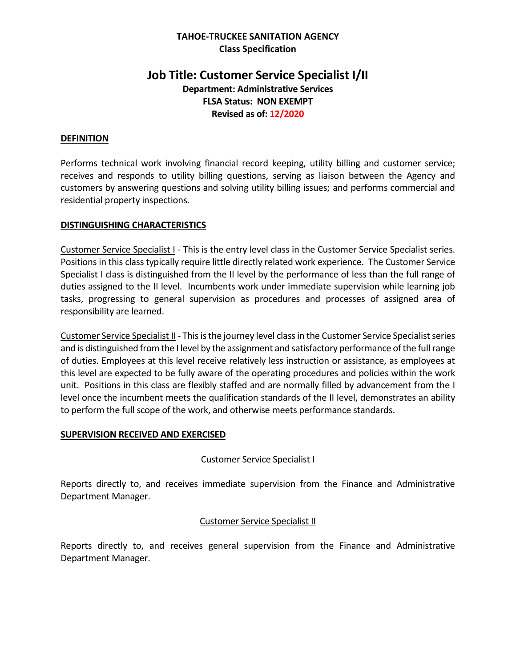#### **TAHOE-TRUCKEE SANITATION AGENCY Class Specification**

# **Job Title: Customer Service Specialist I/II Department: Administrative Services FLSA Status: NON EXEMPT Revised as of: 12/2020**

#### **DEFINITION**

Performs technical work involving financial record keeping, utility billing and customer service; receives and responds to utility billing questions, serving as liaison between the Agency and customers by answering questions and solving utility billing issues; and performs commercial and residential property inspections.

#### **DISTINGUISHING CHARACTERISTICS**

Customer Service Specialist I - This is the entry level class in the Customer Service Specialist series. Positions in this class typically require little directly related work experience. The Customer Service Specialist I class is distinguished from the II level by the performance of less than the full range of duties assigned to the II level. Incumbents work under immediate supervision while learning job tasks, progressing to general supervision as procedures and processes of assigned area of responsibility are learned.

Customer Service Specialist II - This is the journey level class in the Customer Service Specialist series and is distinguished from the I level by the assignment and satisfactory performance of the full range of duties. Employees at this level receive relatively less instruction or assistance, as employees at this level are expected to be fully aware of the operating procedures and policies within the work unit. Positions in this class are flexibly staffed and are normally filled by advancement from the I level once the incumbent meets the qualification standards of the II level, demonstrates an ability to perform the full scope of the work, and otherwise meets performance standards.

#### **SUPERVISION RECEIVED AND EXERCISED**

#### Customer Service Specialist I

Reports directly to, and receives immediate supervision from the Finance and Administrative Department Manager.

#### Customer Service Specialist II

Reports directly to, and receives general supervision from the Finance and Administrative Department Manager.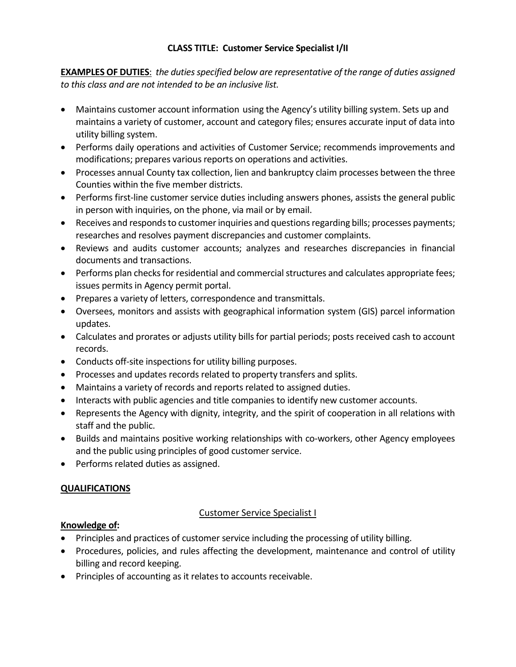**EXAMPLES OF DUTIES**: *the duties specified below are representative of the range of duties assigned to this class and are not intended to be an inclusive list.* 

- Maintains customer account information using the Agency's utility billing system. Sets up and maintains a variety of customer, account and category files; ensures accurate input of data into utility billing system.
- Performs daily operations and activities of Customer Service; recommends improvements and modifications; prepares various reports on operations and activities.
- Processes annual County tax collection, lien and bankruptcy claim processes between the three Counties within the five member districts.
- Performs first-line customer service duties including answers phones, assists the general public in person with inquiries, on the phone, via mail or by email.
- Receives and responds to customer inquiries and questions regarding bills; processes payments; researches and resolves payment discrepancies and customer complaints.
- Reviews and audits customer accounts; analyzes and researches discrepancies in financial documents and transactions.
- Performs plan checks for residential and commercial structures and calculates appropriate fees; issues permits in Agency permit portal.
- Prepares a variety of letters, correspondence and transmittals.
- Oversees, monitors and assists with geographical information system (GIS) parcel information updates.
- Calculates and prorates or adjusts utility bills for partial periods; posts received cash to account records.
- Conducts off-site inspections for utility billing purposes.
- Processes and updates records related to property transfers and splits.
- Maintains a variety of records and reports related to assigned duties.
- Interacts with public agencies and title companies to identify new customer accounts.
- Represents the Agency with dignity, integrity, and the spirit of cooperation in all relations with staff and the public.
- Builds and maintains positive working relationships with co-workers, other Agency employees and the public using principles of good customer service.
- Performs related duties as assigned.

# **QUALIFICATIONS**

# Customer Service Specialist I

# **Knowledge of:**

- Principles and practices of customer service including the processing of utility billing.
- Procedures, policies, and rules affecting the development, maintenance and control of utility billing and record keeping.
- Principles of accounting as it relates to accounts receivable.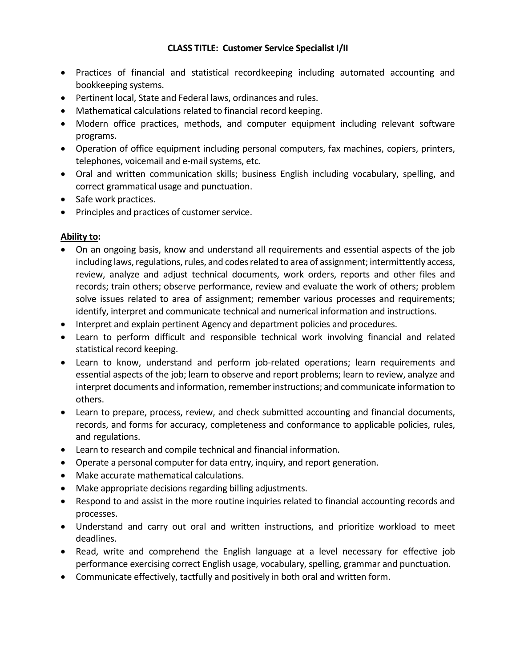- Practices of financial and statistical recordkeeping including automated accounting and bookkeeping systems.
- Pertinent local, State and Federal laws, ordinances and rules.
- Mathematical calculations related to financial record keeping.
- Modern office practices, methods, and computer equipment including relevant software programs.
- Operation of office equipment including personal computers, fax machines, copiers, printers, telephones, voicemail and e-mail systems, etc.
- Oral and written communication skills; business English including vocabulary, spelling, and correct grammatical usage and punctuation.
- Safe work practices.
- Principles and practices of customer service.

# **Ability to:**

- On an ongoing basis, know and understand all requirements and essential aspects of the job including laws, regulations, rules, and codes related to area of assignment; intermittently access, review, analyze and adjust technical documents, work orders, reports and other files and records; train others; observe performance, review and evaluate the work of others; problem solve issues related to area of assignment; remember various processes and requirements; identify, interpret and communicate technical and numerical information and instructions.
- Interpret and explain pertinent Agency and department policies and procedures.
- Learn to perform difficult and responsible technical work involving financial and related statistical record keeping.
- Learn to know, understand and perform job-related operations; learn requirements and essential aspects of the job; learn to observe and report problems; learn to review, analyze and interpret documents and information, remember instructions; and communicate information to others.
- Learn to prepare, process, review, and check submitted accounting and financial documents, records, and forms for accuracy, completeness and conformance to applicable policies, rules, and regulations.
- Learn to research and compile technical and financial information.
- Operate a personal computer for data entry, inquiry, and report generation.
- Make accurate mathematical calculations.
- Make appropriate decisions regarding billing adjustments.
- Respond to and assist in the more routine inquiries related to financial accounting records and processes.
- Understand and carry out oral and written instructions, and prioritize workload to meet deadlines.
- Read, write and comprehend the English language at a level necessary for effective job performance exercising correct English usage, vocabulary, spelling, grammar and punctuation.
- Communicate effectively, tactfully and positively in both oral and written form.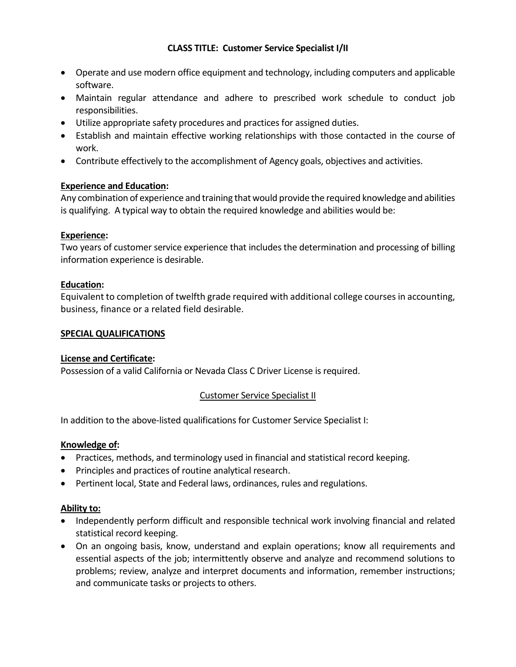- Operate and use modern office equipment and technology, including computers and applicable software.
- Maintain regular attendance and adhere to prescribed work schedule to conduct job responsibilities.
- Utilize appropriate safety procedures and practices for assigned duties.
- Establish and maintain effective working relationships with those contacted in the course of work.
- Contribute effectively to the accomplishment of Agency goals, objectives and activities.

# **Experience and Education:**

Any combination of experience and training that would provide the required knowledge and abilities is qualifying. A typical way to obtain the required knowledge and abilities would be:

# **Experience:**

Two years of customer service experience that includes the determination and processing of billing information experience is desirable.

# **Education:**

Equivalent to completion of twelfth grade required with additional college courses in accounting, business, finance or a related field desirable.

# **SPECIAL QUALIFICATIONS**

# **License and Certificate:**

Possession of a valid California or Nevada Class C Driver License is required.

# Customer Service Specialist II

In addition to the above-listed qualifications for Customer Service Specialist I:

# **Knowledge of:**

- Practices, methods, and terminology used in financial and statistical record keeping.
- Principles and practices of routine analytical research.
- Pertinent local, State and Federal laws, ordinances, rules and regulations.

# **Ability to:**

- Independently perform difficult and responsible technical work involving financial and related statistical record keeping.
- On an ongoing basis, know, understand and explain operations; know all requirements and essential aspects of the job; intermittently observe and analyze and recommend solutions to problems; review, analyze and interpret documents and information, remember instructions; and communicate tasks or projects to others.